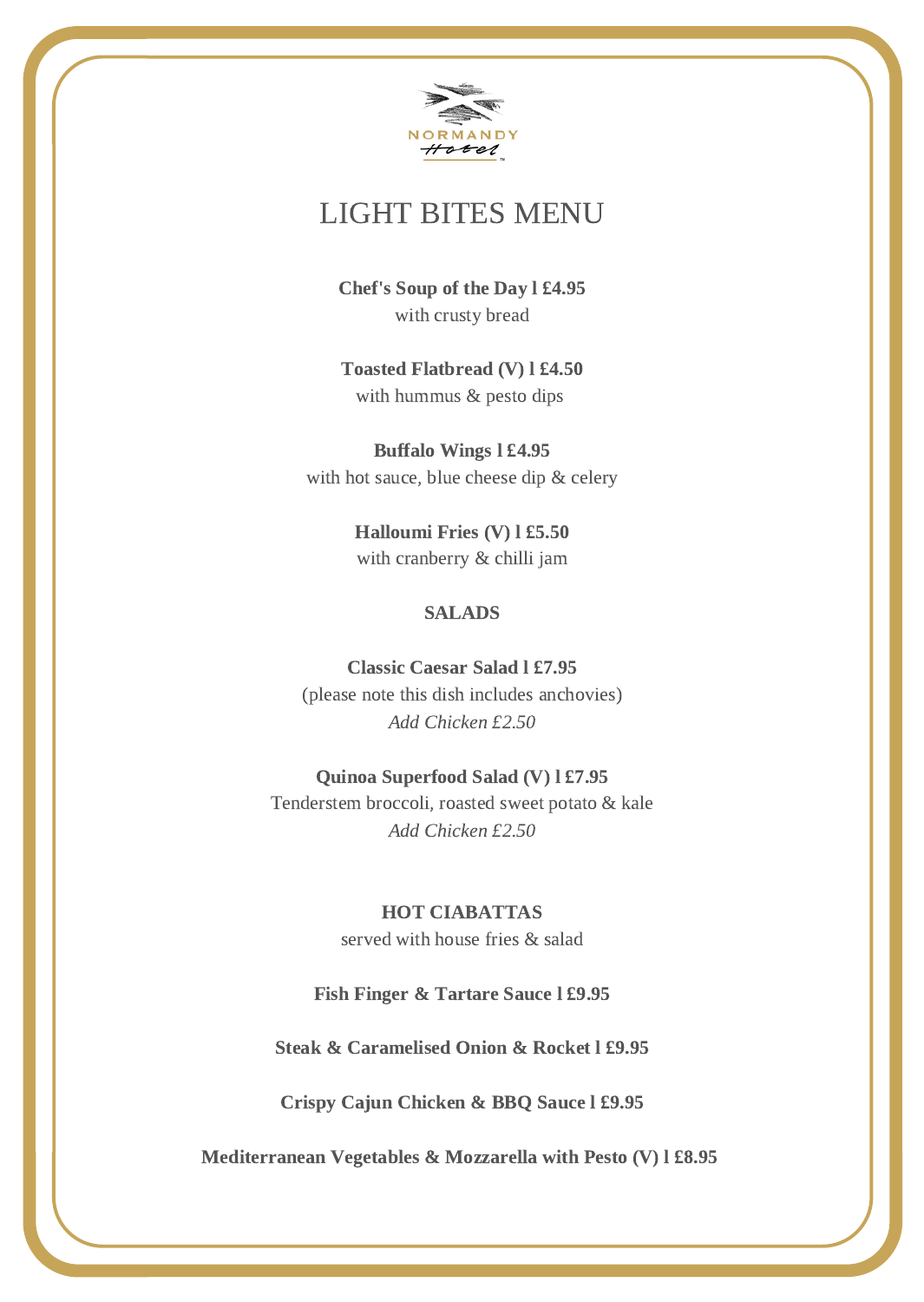

# LIGHT BITES MENU

Chef's Soup of the Day l £4.95 with crusty bread

Toasted Flatbread (V) l £4.50 with hummus & pesto dips

Buffalo Wings l £4.95 with hot sauce, blue cheese dip & celery

> Halloumi Fries (V) l £5.50 with cranberry & chilli jam

### SALADS

Classic Caesar Salad l £7.95 (please note this dish includes anchovies) Add Chicken £2.50

#### Quinoa Superfood Salad (V) l £7.95

Tenderstem broccoli, roasted sweet potato & kale Add Chicken £2.50

## HOT CIABATTAS

served with house fries & salad

#### Fish Finger & Tartare Sauce l £9.95

Steak & Caramelised Onion & Rocket l £9.95

Crispy Cajun Chicken & BBQ Sauce l £9.95

Mediterranean Vegetables & Mozzarella with Pesto (V) l £8.95